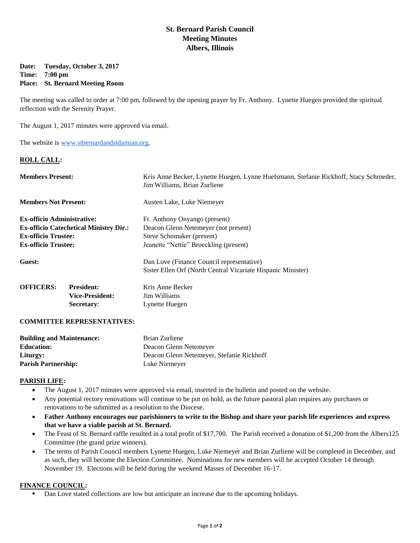# **St. Bernard Parish Council Meeting Minutes Albers, Illinois**

## **Date: Tuesday, October 3, 2017 Time: 7:00 pm Place: St. Bernard Meeting Room**

The meeting was called to order at 7:00 pm, followed by the opening prayer by Fr. Anthony. Lynette Huegen provided the spiritual reflection with the Serenity Prayer.

The August 1, 2017 minutes were approved via email.

The website is [www.stbernardandstdamian.org.](http://www.stbernardandstdamian.org/)

## **ROLL CALL:**

| <b>Members Present:</b>                       |                                                                  | Kris Anne Becker, Lynette Huegen, Lynne Huelsmann, Stefanie Rickhoff, Stacy Schroeder,<br>Jim Williams, Brian Zurliene |
|-----------------------------------------------|------------------------------------------------------------------|------------------------------------------------------------------------------------------------------------------------|
| <b>Members Not Present:</b>                   |                                                                  | Austen Lake, Luke Niemeyer                                                                                             |
| <b>Ex-officio Administrative:</b>             |                                                                  | Fr. Anthony Onyango (present)                                                                                          |
| <b>Ex-officio Catechetical Ministry Dir.:</b> |                                                                  | Deacon Glenn Netemeyer (not present)                                                                                   |
| <b>Ex-officio Trustee:</b>                    |                                                                  | Steve Schomaker (present)                                                                                              |
| <b>Ex-officio Trustee:</b>                    |                                                                  | Jeanette "Nettie" Broeckling (present)                                                                                 |
| Guest:                                        |                                                                  | Dan Love (Finance Council representative)                                                                              |
|                                               |                                                                  | Sister Ellen Orf (North Central Vicariate Hispanic Minister)                                                           |
| <b>OFFICERS:</b>                              | <b>President:</b><br><b>Vice-President:</b><br><b>Secretary:</b> | Kris Anne Becker<br>Jim Williams<br>Lynette Huegen                                                                     |
|                                               |                                                                  |                                                                                                                        |

## **COMMITTEE REPRESENTATIVES:**

| <b>Building and Maintenance:</b> | Brian Zurliene                            |
|----------------------------------|-------------------------------------------|
| <b>Education:</b>                | Deacon Glenn Netemeyer                    |
| Liturgy:                         | Deacon Glenn Netemeyer, Stefanie Rickhoff |
| <b>Parish Partnership:</b>       | Luke Niemeyer                             |

## **PARISH LIFE:**

- The August 1, 2017 minutes were approved via email, inserted in the bulletin and posted on the website.
- Any potential rectory renovations will continue to be put on hold, as the future pastoral plan requires any purchases or renovations to be submitted as a resolution to the Diocese.
- **Father Anthony encourages our parishioners to write to the Bishop and share your parish life experiences and express that we have a viable parish at St. Bernard.**
- The Feast of St. Bernard raffle resulted in a total profit of \$17,700. The Parish received a donation of \$1,200 from the Albers125 Committee (the grand prize winners).
- The terms of Parish Council members Lynette Huegen, Luke Niemeyer and Brian Zurliene will be completed in December, and as such, they will become the Election Committee. Nominations for new members will be accepted October 14 through November 19. Elections will be held during the weekend Masses of December 16-17.

## **FINANCE COUNCIL:**

**Dan Love stated collections are low but anticipate an increase due to the upcoming holidays.**